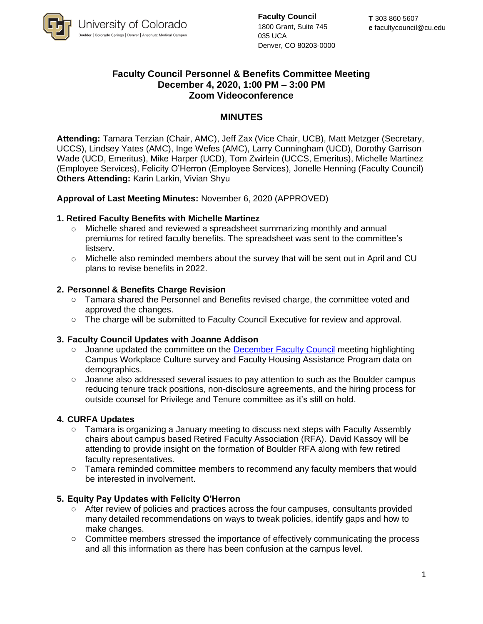

**Faculty Council** 1800 Grant, Suite 745 035 UCA Denver, CO 80203-0000

# **Faculty Council Personnel & Benefits Committee Meeting December 4, 2020, 1:00 PM – 3:00 PM Zoom Videoconference**

# **MINUTES**

**Attending:** Tamara Terzian (Chair, AMC), Jeff Zax (Vice Chair, UCB), Matt Metzger (Secretary, UCCS), Lindsey Yates (AMC), Inge Wefes (AMC), Larry Cunningham (UCD), Dorothy Garrison Wade (UCD, Emeritus), Mike Harper (UCD), Tom Zwirlein (UCCS, Emeritus), Michelle Martinez (Employee Services), Felicity O'Herron (Employee Services), Jonelle Henning (Faculty Council) **Others Attending:** Karin Larkin, Vivian Shyu

### **Approval of Last Meeting Minutes:** November 6, 2020 (APPROVED)

### **1. Retired Faculty Benefits with Michelle Martinez**

- $\circ$  Michelle shared and reviewed a spreadsheet summarizing monthly and annual premiums for retired faculty benefits. The spreadsheet was sent to the committee's listserv.
- $\circ$  Michelle also reminded members about the survey that will be sent out in April and CU plans to revise benefits in 2022.

### **2. Personnel & Benefits Charge Revision**

- o Tamara shared the Personnel and Benefits revised charge, the committee voted and approved the changes.
- o The charge will be submitted to Faculty Council Executive for review and approval.

#### **3. Faculty Council Updates with Joanne Addison**

- o Joanne updated the committee on the **December Faculty Council** meeting highlighting Campus Workplace Culture survey and Faculty Housing Assistance Program data on demographics.
- $\circ$  Joanne also addressed several issues to pay attention to such as the Boulder campus reducing tenure track positions, non-disclosure agreements, and the hiring process for outside counsel for Privilege and Tenure committee as it's still on hold.

#### **4. CURFA Updates**

- $\circ$  Tamara is organizing a January meeting to discuss next steps with Faculty Assembly chairs about campus based Retired Faculty Association (RFA). David Kassoy will be attending to provide insight on the formation of Boulder RFA along with few retired faculty representatives.
- $\circ$  Tamara reminded committee members to recommend any faculty members that would be interested in involvement.

## **5. Equity Pay Updates with Felicity O'Herron**

- $\circ$  After review of policies and practices across the four campuses, consultants provided many detailed recommendations on ways to tweak policies, identify gaps and how to make changes.
- o Committee members stressed the importance of effectively communicating the process and all this information as there has been confusion at the campus level.